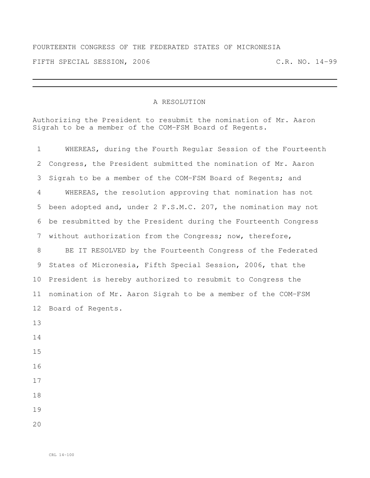## FOURTEENTH CONGRESS OF THE FEDERATED STATES OF MICRONESIA FIFTH SPECIAL SESSION, 2006 C.R. NO. 14-99

## A RESOLUTION

Authorizing the President to resubmit the nomination of Mr. Aaron Sigrah to be a member of the COM-FSM Board of Regents.

| 1  | WHEREAS, during the Fourth Regular Session of the Fourteenth   |
|----|----------------------------------------------------------------|
| 2  | Congress, the President submitted the nomination of Mr. Aaron  |
| 3  | Sigrah to be a member of the COM-FSM Board of Regents; and     |
| 4  | WHEREAS, the resolution approving that nomination has not      |
| 5  | been adopted and, under 2 F.S.M.C. 207, the nomination may not |
| 6  | be resubmitted by the President during the Fourteenth Congress |
| 7  | without authorization from the Congress; now, therefore,       |
| 8  | BE IT RESOLVED by the Fourteenth Congress of the Federated     |
| 9  | States of Micronesia, Fifth Special Session, 2006, that the    |
| 10 | President is hereby authorized to resubmit to Congress the     |
| 11 | nomination of Mr. Aaron Sigrah to be a member of the COM-FSM   |
| 12 | Board of Regents.                                              |
| 13 |                                                                |
| 14 |                                                                |
| 15 |                                                                |
| 16 |                                                                |
| 17 |                                                                |
| 18 |                                                                |
| 19 |                                                                |
| 20 |                                                                |